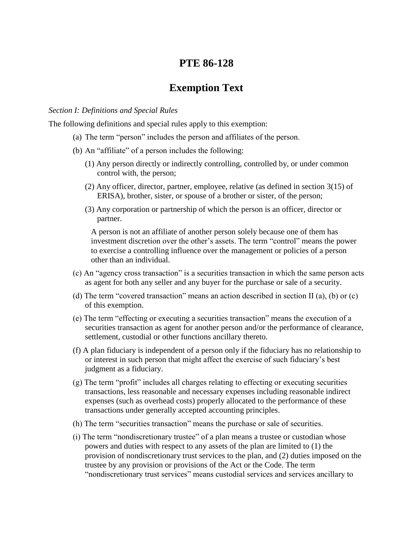# **PTE 86-128**

# **Exemption Text**

#### *Section I: Definitions and Special Rules*

The following definitions and special rules apply to this exemption:

- (a) The term "person" includes the person and affiliates of the person.
- (b) An "affiliate" of a person includes the following:
	- (1) Any person directly or indirectly controlling, controlled by, or under common control with, the person;
	- (2) Any officer, director, partner, employee, relative (as defined in section 3(15) of ERISA), brother, sister, or spouse of a brother or sister, of the person;
	- (3) Any corporation or partnership of which the person is an officer, director or partner.

A person is not an affiliate of another person solely because one of them has investment discretion over the other's assets. The term "control" means the power to exercise a controlling influence over the management or policies of a person other than an individual.

- (c) An "agency cross transaction" is a securities transaction in which the same person acts as agent for both any seller and any buyer for the purchase or sale of a security.
- (d) The term "covered transaction" means an action described in section II (a), (b) or (c) of this exemption.
- (e) The term "effecting or executing a securities transaction" means the execution of a securities transaction as agent for another person and/or the performance of clearance, settlement, custodial or other functions ancillary thereto.
- (f) A plan fiduciary is independent of a person only if the fiduciary has no relationship to or interest in such person that might affect the exercise of such fiduciary's best judgment as a fiduciary.
- (g) The term "profit" includes all charges relating to effecting or executing securities transactions, less reasonable and necessary expenses including reasonable indirect expenses (such as overhead costs) properly allocated to the performance of these transactions under generally accepted accounting principles.
- (h) The term "securities transaction" means the purchase or sale of securities.
- (i) The term "nondiscretionary trustee" of a plan means a trustee or custodian whose powers and duties with respect to any assets of the plan are limited to (1) the provision of nondiscretionary trust services to the plan, and (2) duties imposed on the trustee by any provision or provisions of the Act or the Code. The term "nondiscretionary trust services" means custodial services and services ancillary to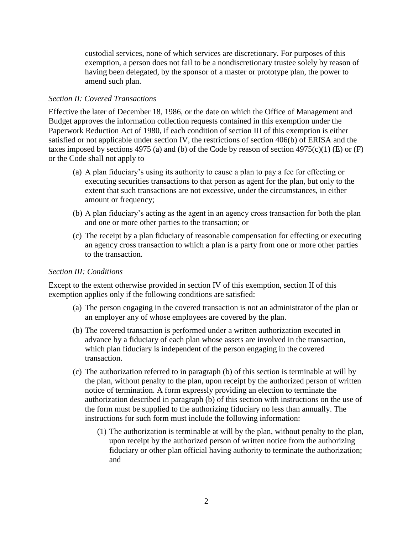custodial services, none of which services are discretionary. For purposes of this exemption, a person does not fail to be a nondiscretionary trustee solely by reason of having been delegated, by the sponsor of a master or prototype plan, the power to amend such plan.

### *Section II: Covered Transactions*

Effective the later of December 18, 1986, or the date on which the Office of Management and Budget approves the information collection requests contained in this exemption under the Paperwork Reduction Act of 1980, if each condition of section III of this exemption is either satisfied or not applicable under section IV, the restrictions of section 406(b) of ERISA and the taxes imposed by sections 4975 (a) and (b) of the Code by reason of section 4975(c)(1) (E) or  $(F)$ or the Code shall not apply to—

- (a) A plan fiduciary's using its authority to cause a plan to pay a fee for effecting or executing securities transactions to that person as agent for the plan, but only to the extent that such transactions are not excessive, under the circumstances, in either amount or frequency;
- (b) A plan fiduciary's acting as the agent in an agency cross transaction for both the plan and one or more other parties to the transaction; or
- (c) The receipt by a plan fiduciary of reasonable compensation for effecting or executing an agency cross transaction to which a plan is a party from one or more other parties to the transaction.

### *Section III: Conditions*

Except to the extent otherwise provided in section IV of this exemption, section II of this exemption applies only if the following conditions are satisfied:

- (a) The person engaging in the covered transaction is not an administrator of the plan or an employer any of whose employees are covered by the plan.
- (b) The covered transaction is performed under a written authorization executed in advance by a fiduciary of each plan whose assets are involved in the transaction, which plan fiduciary is independent of the person engaging in the covered transaction.
- (c) The authorization referred to in paragraph (b) of this section is terminable at will by the plan, without penalty to the plan, upon receipt by the authorized person of written notice of termination. A form expressly providing an election to terminate the authorization described in paragraph (b) of this section with instructions on the use of the form must be supplied to the authorizing fiduciary no less than annually. The instructions for such form must include the following information:
	- (1) The authorization is terminable at will by the plan, without penalty to the plan, upon receipt by the authorized person of written notice from the authorizing fiduciary or other plan official having authority to terminate the authorization; and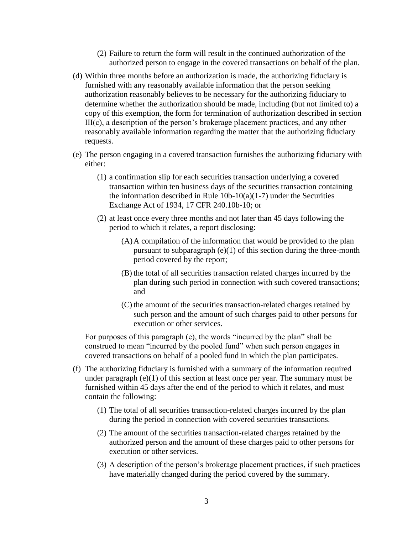- (2) Failure to return the form will result in the continued authorization of the authorized person to engage in the covered transactions on behalf of the plan.
- (d) Within three months before an authorization is made, the authorizing fiduciary is furnished with any reasonably available information that the person seeking authorization reasonably believes to be necessary for the authorizing fiduciary to determine whether the authorization should be made, including (but not limited to) a copy of this exemption, the form for termination of authorization described in section III(c), a description of the person's brokerage placement practices, and any other reasonably available information regarding the matter that the authorizing fiduciary requests.
- (e) The person engaging in a covered transaction furnishes the authorizing fiduciary with either:
	- (1) a confirmation slip for each securities transaction underlying a covered transaction within ten business days of the securities transaction containing the information described in Rule  $10b-10(a)(1-7)$  under the Securities Exchange Act of 1934, 17 CFR 240.10b-10; or
	- (2) at least once every three months and not later than 45 days following the period to which it relates, a report disclosing:
		- (A)A compilation of the information that would be provided to the plan pursuant to subparagraph  $(e)(1)$  of this section during the three-month period covered by the report;
		- (B) the total of all securities transaction related charges incurred by the plan during such period in connection with such covered transactions; and
		- (C) the amount of the securities transaction-related charges retained by such person and the amount of such charges paid to other persons for execution or other services.

For purposes of this paragraph (e), the words "incurred by the plan" shall be construed to mean "incurred by the pooled fund" when such person engages in covered transactions on behalf of a pooled fund in which the plan participates.

- (f) The authorizing fiduciary is furnished with a summary of the information required under paragraph  $(e)(1)$  of this section at least once per year. The summary must be furnished within 45 days after the end of the period to which it relates, and must contain the following:
	- (1) The total of all securities transaction-related charges incurred by the plan during the period in connection with covered securities transactions.
	- (2) The amount of the securities transaction-related charges retained by the authorized person and the amount of these charges paid to other persons for execution or other services.
	- (3) A description of the person's brokerage placement practices, if such practices have materially changed during the period covered by the summary.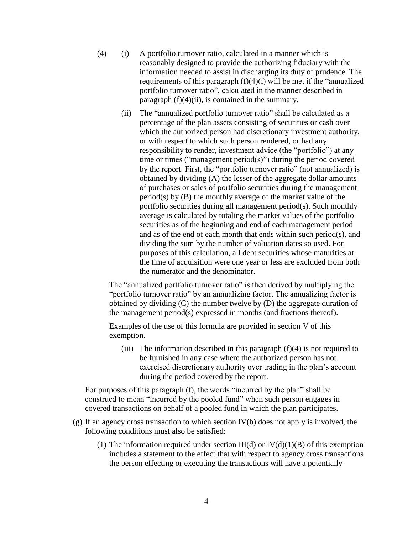- $(4)$  (i) A portfolio turnover ratio, calculated in a manner which is reasonably designed to provide the authorizing fiduciary with the information needed to assist in discharging its duty of prudence. The requirements of this paragraph  $(f)(4)(i)$  will be met if the "annualized" portfolio turnover ratio", calculated in the manner described in paragraph  $(f)(4)(ii)$ , is contained in the summary.
	- (ii) The "annualized portfolio turnover ratio" shall be calculated as a percentage of the plan assets consisting of securities or cash over which the authorized person had discretionary investment authority, or with respect to which such person rendered, or had any responsibility to render, investment advice (the "portfolio") at any time or times ("management period(s)") during the period covered by the report. First, the "portfolio turnover ratio" (not annualized) is obtained by dividing (A) the lesser of the aggregate dollar amounts of purchases or sales of portfolio securities during the management period(s) by (B) the monthly average of the market value of the portfolio securities during all management period(s). Such monthly average is calculated by totaling the market values of the portfolio securities as of the beginning and end of each management period and as of the end of each month that ends within such period(s), and dividing the sum by the number of valuation dates so used. For purposes of this calculation, all debt securities whose maturities at the time of acquisition were one year or less are excluded from both the numerator and the denominator.

The "annualized portfolio turnover ratio" is then derived by multiplying the "portfolio turnover ratio" by an annualizing factor. The annualizing factor is obtained by dividing (C) the number twelve by (D) the aggregate duration of the management period(s) expressed in months (and fractions thereof).

Examples of the use of this formula are provided in section V of this exemption.

(iii) The information described in this paragraph  $(f)(4)$  is not required to be furnished in any case where the authorized person has not exercised discretionary authority over trading in the plan's account during the period covered by the report.

For purposes of this paragraph (f), the words "incurred by the plan" shall be construed to mean "incurred by the pooled fund" when such person engages in covered transactions on behalf of a pooled fund in which the plan participates.

- (g) If an agency cross transaction to which section IV(b) does not apply is involved, the following conditions must also be satisfied:
	- (1) The information required under section  $III(d)$  or  $IV(d)(1)(B)$  of this exemption includes a statement to the effect that with respect to agency cross transactions the person effecting or executing the transactions will have a potentially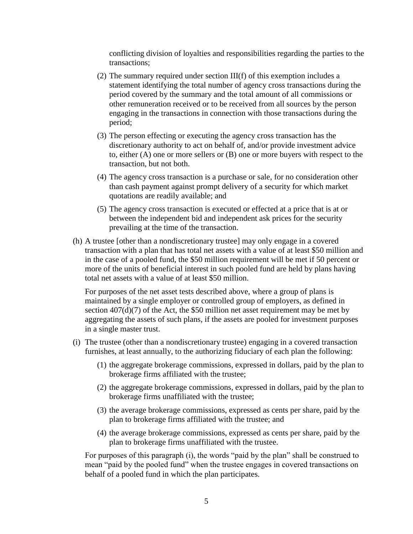conflicting division of loyalties and responsibilities regarding the parties to the transactions;

- (2) The summary required under section III(f) of this exemption includes a statement identifying the total number of agency cross transactions during the period covered by the summary and the total amount of all commissions or other remuneration received or to be received from all sources by the person engaging in the transactions in connection with those transactions during the period;
- (3) The person effecting or executing the agency cross transaction has the discretionary authority to act on behalf of, and/or provide investment advice to, either (A) one or more sellers or (B) one or more buyers with respect to the transaction, but not both.
- (4) The agency cross transaction is a purchase or sale, for no consideration other than cash payment against prompt delivery of a security for which market quotations are readily available; and
- (5) The agency cross transaction is executed or effected at a price that is at or between the independent bid and independent ask prices for the security prevailing at the time of the transaction.
- (h) A trustee [other than a nondiscretionary trustee] may only engage in a covered transaction with a plan that has total net assets with a value of at least \$50 million and in the case of a pooled fund, the \$50 million requirement will be met if 50 percent or more of the units of beneficial interest in such pooled fund are held by plans having total net assets with a value of at least \$50 million.

For purposes of the net asset tests described above, where a group of plans is maintained by a single employer or controlled group of employers, as defined in section  $407(d)(7)$  of the Act, the \$50 million net asset requirement may be met by aggregating the assets of such plans, if the assets are pooled for investment purposes in a single master trust.

- (i) The trustee (other than a nondiscretionary trustee) engaging in a covered transaction furnishes, at least annually, to the authorizing fiduciary of each plan the following:
	- (1) the aggregate brokerage commissions, expressed in dollars, paid by the plan to brokerage firms affiliated with the trustee;
	- (2) the aggregate brokerage commissions, expressed in dollars, paid by the plan to brokerage firms unaffiliated with the trustee;
	- (3) the average brokerage commissions, expressed as cents per share, paid by the plan to brokerage firms affiliated with the trustee; and
	- (4) the average brokerage commissions, expressed as cents per share, paid by the plan to brokerage firms unaffiliated with the trustee.

For purposes of this paragraph (i), the words "paid by the plan" shall be construed to mean "paid by the pooled fund" when the trustee engages in covered transactions on behalf of a pooled fund in which the plan participates.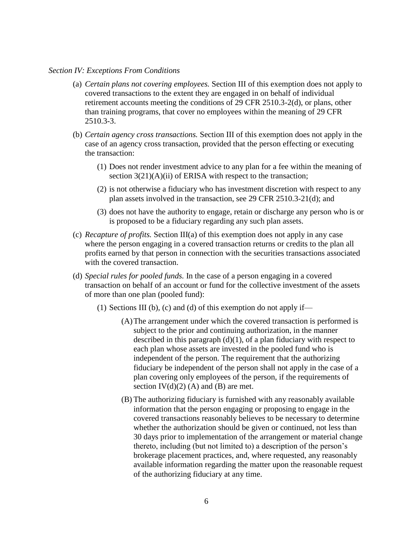#### *Section IV: Exceptions From Conditions*

- (a) *Certain plans not covering employees.* Section III of this exemption does not apply to covered transactions to the extent they are engaged in on behalf of individual retirement accounts meeting the conditions of 29 CFR 2510.3-2(d), or plans, other than training programs, that cover no employees within the meaning of 29 CFR 2510.3-3.
- (b) *Certain agency cross transactions.* Section III of this exemption does not apply in the case of an agency cross transaction, provided that the person effecting or executing the transaction:
	- (1) Does not render investment advice to any plan for a fee within the meaning of section  $3(21)(A)(ii)$  of ERISA with respect to the transaction;
	- (2) is not otherwise a fiduciary who has investment discretion with respect to any plan assets involved in the transaction, see 29 CFR 2510.3-21(d); and
	- (3) does not have the authority to engage, retain or discharge any person who is or is proposed to be a fiduciary regarding any such plan assets.
- (c) *Recapture of profits.* Section III(a) of this exemption does not apply in any case where the person engaging in a covered transaction returns or credits to the plan all profits earned by that person in connection with the securities transactions associated with the covered transaction.
- (d) *Special rules for pooled funds.* In the case of a person engaging in a covered transaction on behalf of an account or fund for the collective investment of the assets of more than one plan (pooled fund):
	- (1) Sections III (b), (c) and (d) of this exemption do not apply if—
		- (A)The arrangement under which the covered transaction is performed is subject to the prior and continuing authorization, in the manner described in this paragraph  $(d)(1)$ , of a plan fiduciary with respect to each plan whose assets are invested in the pooled fund who is independent of the person. The requirement that the authorizing fiduciary be independent of the person shall not apply in the case of a plan covering only employees of the person, if the requirements of section  $IV(d)(2)$  (A) and (B) are met.
		- (B) The authorizing fiduciary is furnished with any reasonably available information that the person engaging or proposing to engage in the covered transactions reasonably believes to be necessary to determine whether the authorization should be given or continued, not less than 30 days prior to implementation of the arrangement or material change thereto, including (but not limited to) a description of the person's brokerage placement practices, and, where requested, any reasonably available information regarding the matter upon the reasonable request of the authorizing fiduciary at any time.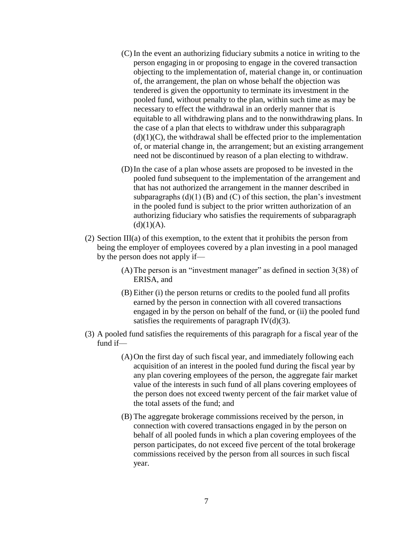- (C) In the event an authorizing fiduciary submits a notice in writing to the person engaging in or proposing to engage in the covered transaction objecting to the implementation of, material change in, or continuation of, the arrangement, the plan on whose behalf the objection was tendered is given the opportunity to terminate its investment in the pooled fund, without penalty to the plan, within such time as may be necessary to effect the withdrawal in an orderly manner that is equitable to all withdrawing plans and to the nonwithdrawing plans. In the case of a plan that elects to withdraw under this subparagraph  $(d)(1)(C)$ , the withdrawal shall be effected prior to the implementation of, or material change in, the arrangement; but an existing arrangement need not be discontinued by reason of a plan electing to withdraw.
- (D)In the case of a plan whose assets are proposed to be invested in the pooled fund subsequent to the implementation of the arrangement and that has not authorized the arrangement in the manner described in subparagraphs  $(d)(1)$  (B) and (C) of this section, the plan's investment in the pooled fund is subject to the prior written authorization of an authorizing fiduciary who satisfies the requirements of subparagraph  $(d)(1)(A).$
- (2) Section III(a) of this exemption, to the extent that it prohibits the person from being the employer of employees covered by a plan investing in a pool managed by the person does not apply if—
	- (A)The person is an "investment manager" as defined in section 3(38) of ERISA, and
	- (B) Either (i) the person returns or credits to the pooled fund all profits earned by the person in connection with all covered transactions engaged in by the person on behalf of the fund, or (ii) the pooled fund satisfies the requirements of paragraph  $IV(d)(3)$ .
- (3) A pooled fund satisfies the requirements of this paragraph for a fiscal year of the fund if—
	- (A)On the first day of such fiscal year, and immediately following each acquisition of an interest in the pooled fund during the fiscal year by any plan covering employees of the person, the aggregate fair market value of the interests in such fund of all plans covering employees of the person does not exceed twenty percent of the fair market value of the total assets of the fund; and
	- (B) The aggregate brokerage commissions received by the person, in connection with covered transactions engaged in by the person on behalf of all pooled funds in which a plan covering employees of the person participates, do not exceed five percent of the total brokerage commissions received by the person from all sources in such fiscal year.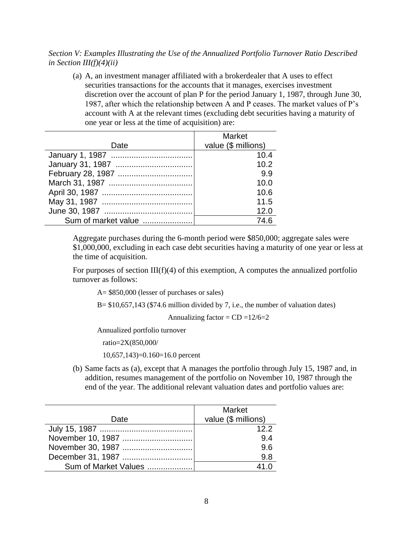## *Section V: Examples Illustrating the Use of the Annualized Portfolio Turnover Ratio Described in Section III(f)(4)(ii)*

(a) A, an investment manager affiliated with a brokerdealer that A uses to effect securities transactions for the accounts that it manages, exercises investment discretion over the account of plan P for the period January 1, 1987, through June 30, 1987, after which the relationship between A and P ceases. The market values of P's account with A at the relevant times (excluding debt securities having a maturity of one year or less at the time of acquisition) are:

|                     | <b>Market</b>       |
|---------------------|---------------------|
| Date                | value (\$ millions) |
|                     | 10.4                |
|                     | 10.2                |
|                     | 99                  |
|                     | 10.0                |
|                     | 10.6                |
|                     | 11.5                |
|                     | 12.0                |
| Sum of market value | 74.6                |

Aggregate purchases during the 6-month period were \$850,000; aggregate sales were \$1,000,000, excluding in each case debt securities having a maturity of one year or less at the time of acquisition.

For purposes of section  $III(f)(4)$  of this exemption, A computes the annualized portfolio turnover as follows:

A= \$850,000 (lesser of purchases or sales)

 $B = $10,657,143$  (\$74.6 million divided by 7, i.e., the number of valuation dates)

Annualizing factor =  $CD = 12/6=2$ 

Annualized portfolio turnover

ratio=2X(850,000/

10,657,143)=0.160=16.0 percent

(b) Same facts as (a), except that A manages the portfolio through July 15, 1987 and, in addition, resumes management of the portfolio on November 10, 1987 through the end of the year. The additional relevant valuation dates and portfolio values are:

| Date                 | <b>Market</b><br>value (\$ millions) |
|----------------------|--------------------------------------|
|                      | 122                                  |
| November 10, 1987    | 9.4                                  |
|                      | 9.6                                  |
|                      | 9.8                                  |
| Sum of Market Values |                                      |